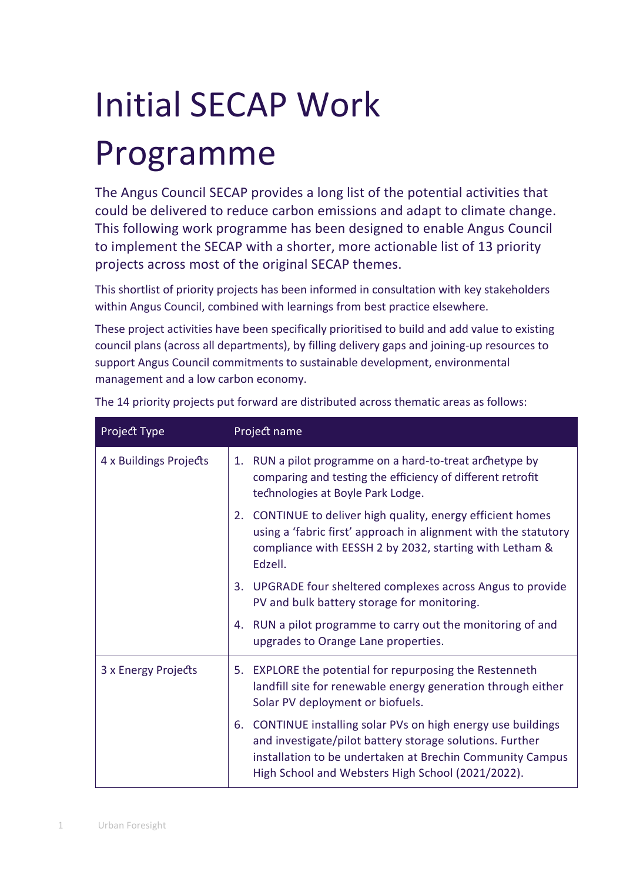# Initial SECAP Work Programme

The Angus Council SECAP provides a long list of the potential activities that could be delivered to reduce carbon emissions and adapt to climate change. This following work programme has been designed to enable Angus Council to implement the SECAP with a shorter, more actionable list of 13 priority projects across most of the original SECAP themes.

This shortlist of priority projects has been informed in consultation with key stakeholders within Angus Council, combined with learnings from best practice elsewhere.

These project activities have been specifically prioritised to build and add value to existing council plans (across all departments), by filling delivery gaps and joining-up resources to support Angus Council commitments to sustainable development, environmental management and a low carbon economy.

| Project Type           | Project name                                                                                                                                                                                                                                   |
|------------------------|------------------------------------------------------------------------------------------------------------------------------------------------------------------------------------------------------------------------------------------------|
| 4 x Buildings Projects | RUN a pilot programme on a hard-to-treat archetype by<br>1.<br>comparing and testing the efficiency of different retrofit<br>technologies at Boyle Park Lodge.                                                                                 |
|                        | 2. CONTINUE to deliver high quality, energy efficient homes<br>using a 'fabric first' approach in alignment with the statutory<br>compliance with EESSH 2 by 2032, starting with Letham &<br>Edzell.                                           |
|                        | UPGRADE four sheltered complexes across Angus to provide<br>3.<br>PV and bulk battery storage for monitoring.                                                                                                                                  |
|                        | RUN a pilot programme to carry out the monitoring of and<br>4.<br>upgrades to Orange Lane properties.                                                                                                                                          |
| 3 x Energy Projects    | 5. EXPLORE the potential for repurposing the Restenneth<br>landfill site for renewable energy generation through either<br>Solar PV deployment or biofuels.                                                                                    |
|                        | CONTINUE installing solar PVs on high energy use buildings<br>6.<br>and investigate/pilot battery storage solutions. Further<br>installation to be undertaken at Brechin Community Campus<br>High School and Websters High School (2021/2022). |

The 14 priority projects put forward are distributed across thematic areas as follows: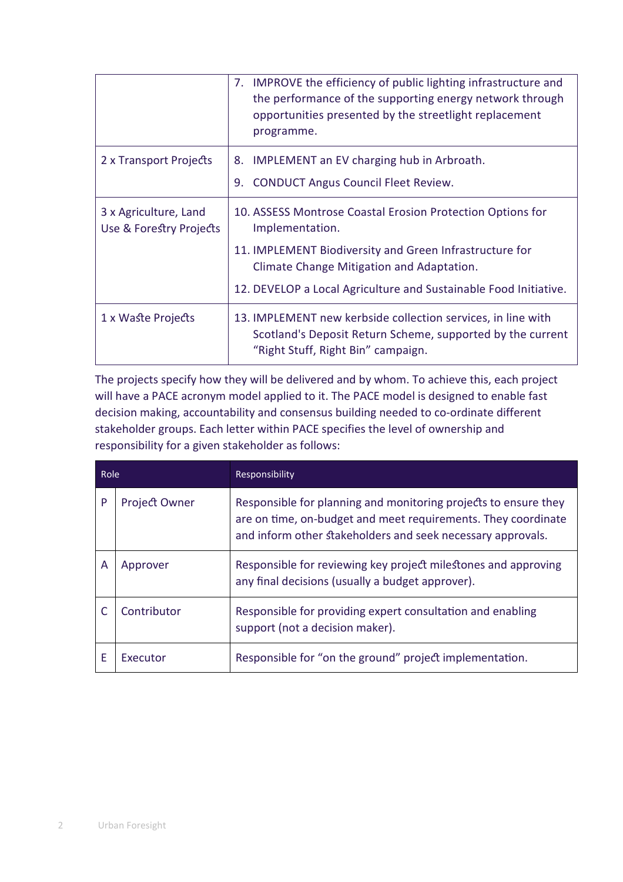|                                                  | 7. IMPROVE the efficiency of public lighting infrastructure and<br>the performance of the supporting energy network through<br>opportunities presented by the streetlight replacement<br>programme.                                                       |
|--------------------------------------------------|-----------------------------------------------------------------------------------------------------------------------------------------------------------------------------------------------------------------------------------------------------------|
| 2 x Transport Projects                           | <b>IMPLEMENT</b> an EV charging hub in Arbroath.<br>8.<br><b>CONDUCT Angus Council Fleet Review.</b><br>9.                                                                                                                                                |
| 3 x Agriculture, Land<br>Use & Forestry Projects | 10. ASSESS Montrose Coastal Erosion Protection Options for<br>Implementation.<br>11. IMPLEMENT Biodiversity and Green Infrastructure for<br>Climate Change Mitigation and Adaptation.<br>12. DEVELOP a Local Agriculture and Sustainable Food Initiative. |
| 1 x Waste Projects                               | 13. IMPLEMENT new kerbside collection services, in line with<br>Scotland's Deposit Return Scheme, supported by the current<br>"Right Stuff, Right Bin" campaign.                                                                                          |

The projects specify how they will be delivered and by whom. To achieve this, each project will have a PACE acronym model applied to it. The PACE model is designed to enable fast decision making, accountability and consensus building needed to co-ordinate different stakeholder groups. Each letter within PACE specifies the level of ownership and responsibility for a given stakeholder as follows:

| Role |                      | Responsibility                                                                                                                                                                                  |  |
|------|----------------------|-------------------------------------------------------------------------------------------------------------------------------------------------------------------------------------------------|--|
| P    | <b>Project Owner</b> | Responsible for planning and monitoring projects to ensure they<br>are on time, on-budget and meet requirements. They coordinate<br>and inform other stakeholders and seek necessary approvals. |  |
| A    | Approver             | Responsible for reviewing key project milestones and approving<br>any final decisions (usually a budget approver).                                                                              |  |
|      | Contributor          | Responsible for providing expert consultation and enabling<br>support (not a decision maker).                                                                                                   |  |
| E    | Executor             | Responsible for "on the ground" project implementation.                                                                                                                                         |  |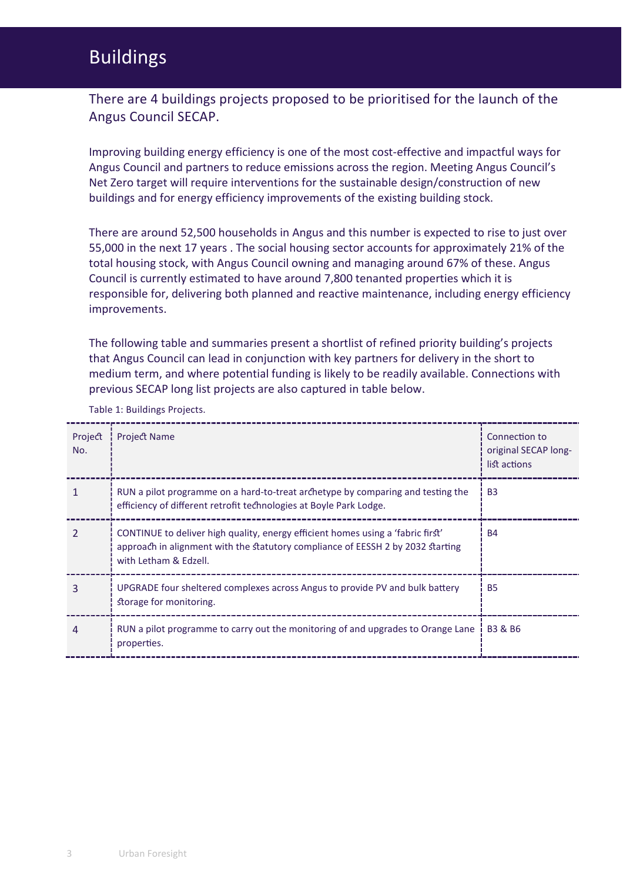## Buildings

There are 4 buildings projects proposed to be prioritised for the launch of the Angus Council SECAP.

Improving building energy efficiency is one of the most cost-effective and impactful ways for Angus Council and partners to reduce emissions across the region. Meeting Angus Council's Net Zero target will require interventions for the sustainable design/construction of new buildings and for energy efficiency improvements of the existing building stock.

There are around 52,500 households in Angus and this number is expected to rise to just over 55,000 in the next 17 years . The social housing sector accounts for approximately 21% of the total housing stock, with Angus Council owning and managing around 67% of these. Angus Council is currently estimated to have around 7,800 tenanted properties which it is responsible for, delivering both planned and reactive maintenance, including energy efficiency improvements.

The following table and summaries present a shortlist of refined priority building's projects that Angus Council can lead in conjunction with key partners for delivery in the short to medium term, and where potential funding is likely to be readily available. Connections with previous SECAP long list projects are also captured in table below.

| Project<br>No. | <b>Project Name</b>                                                                                                                                                                         | Connection to<br>original SECAP long-<br>list actions |
|----------------|---------------------------------------------------------------------------------------------------------------------------------------------------------------------------------------------|-------------------------------------------------------|
|                | RUN a pilot programme on a hard-to-treat archetype by comparing and testing the<br>efficiency of different retrofit technologies at Boyle Park Lodge.                                       | <b>B3</b>                                             |
|                | CONTINUE to deliver high quality, energy efficient homes using a 'fabric first'<br>approach in alignment with the statutory compliance of EESSH 2 by 2032 starting<br>with Letham & Edzell. | <b>B4</b>                                             |
|                | UPGRADE four sheltered complexes across Angus to provide PV and bulk battery<br>storage for monitoring.                                                                                     | <b>B5</b>                                             |
|                | RUN a pilot programme to carry out the monitoring of and upgrades to Orange Lane<br>properties.                                                                                             | <b>B3 &amp; B6</b>                                    |

Table 1: Buildings Projects.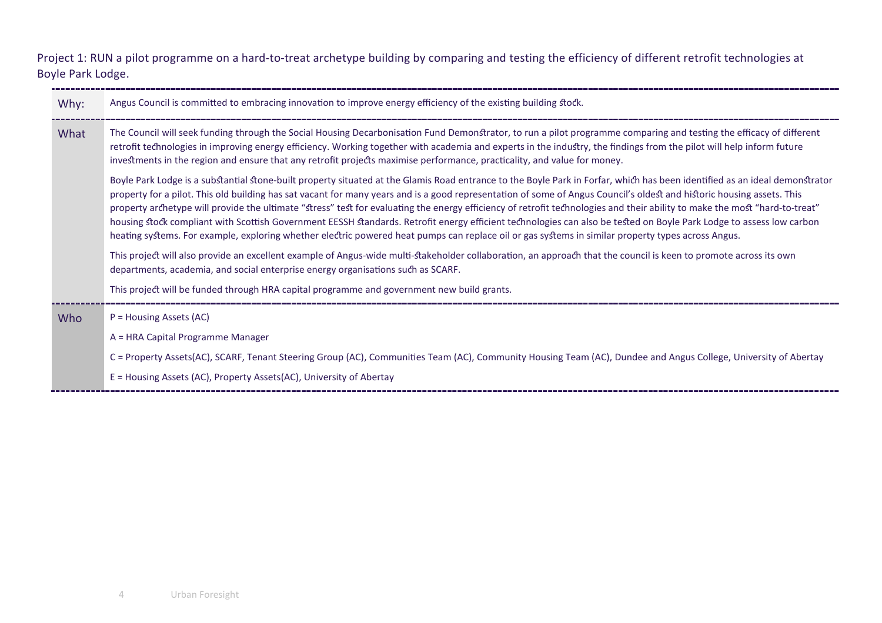Project 1: RUN a pilot programme on a hard-to-treat archetype building by comparing and testing the efficiency of different retrofit technologies at Boyle Park Lodge.

| Why: | Angus Council is committed to embracing innovation to improve energy efficiency of the existing building stock.                                                                                                                                                                                                                                                                                                                                                                                                                                                                                                                                                                                                                                                                                                                                                    |
|------|--------------------------------------------------------------------------------------------------------------------------------------------------------------------------------------------------------------------------------------------------------------------------------------------------------------------------------------------------------------------------------------------------------------------------------------------------------------------------------------------------------------------------------------------------------------------------------------------------------------------------------------------------------------------------------------------------------------------------------------------------------------------------------------------------------------------------------------------------------------------|
| What | The Council will seek funding through the Social Housing Decarbonisation Fund Demonstrator, to run a pilot programme comparing and testing the efficacy of different<br>retrofit technologies in improving energy efficiency. Working together with academia and experts in the industry, the findings from the pilot will help inform future<br>investments in the region and ensure that any retrofit projects maximise performance, practicality, and value for money.                                                                                                                                                                                                                                                                                                                                                                                          |
|      | Boyle Park Lodge is a substantial stone-built property situated at the Glamis Road entrance to the Boyle Park in Forfar, which has been identified as an ideal demonstrator<br>property for a pilot. This old building has sat vacant for many years and is a good representation of some of Angus Council's oldest and historic housing assets. This<br>property archetype will provide the ultimate "stress" test for evaluating the energy efficiency of retrofit technologies and their ability to make the most "hard-to-treat"<br>housing stock compliant with Scottish Government EESSH standards. Retrofit energy efficient technologies can also be tested on Boyle Park Lodge to assess low carbon<br>heating systems. For example, exploring whether electric powered heat pumps can replace oil or gas systems in similar property types across Angus. |
|      | This project will also provide an excellent example of Angus-wide multi-stakeholder collaboration, an approach that the council is keen to promote across its own<br>departments, academia, and social enterprise energy organisations such as SCARF.                                                                                                                                                                                                                                                                                                                                                                                                                                                                                                                                                                                                              |
|      | This project will be funded through HRA capital programme and government new build grants.                                                                                                                                                                                                                                                                                                                                                                                                                                                                                                                                                                                                                                                                                                                                                                         |
| Who  | P = Housing Assets (AC)                                                                                                                                                                                                                                                                                                                                                                                                                                                                                                                                                                                                                                                                                                                                                                                                                                            |
|      | A = HRA Capital Programme Manager                                                                                                                                                                                                                                                                                                                                                                                                                                                                                                                                                                                                                                                                                                                                                                                                                                  |
|      | C = Property Assets(AC), SCARF, Tenant Steering Group (AC), Communities Team (AC), Community Housing Team (AC), Dundee and Angus College, University of Abertay                                                                                                                                                                                                                                                                                                                                                                                                                                                                                                                                                                                                                                                                                                    |
|      | E = Housing Assets (AC), Property Assets(AC), University of Abertay                                                                                                                                                                                                                                                                                                                                                                                                                                                                                                                                                                                                                                                                                                                                                                                                |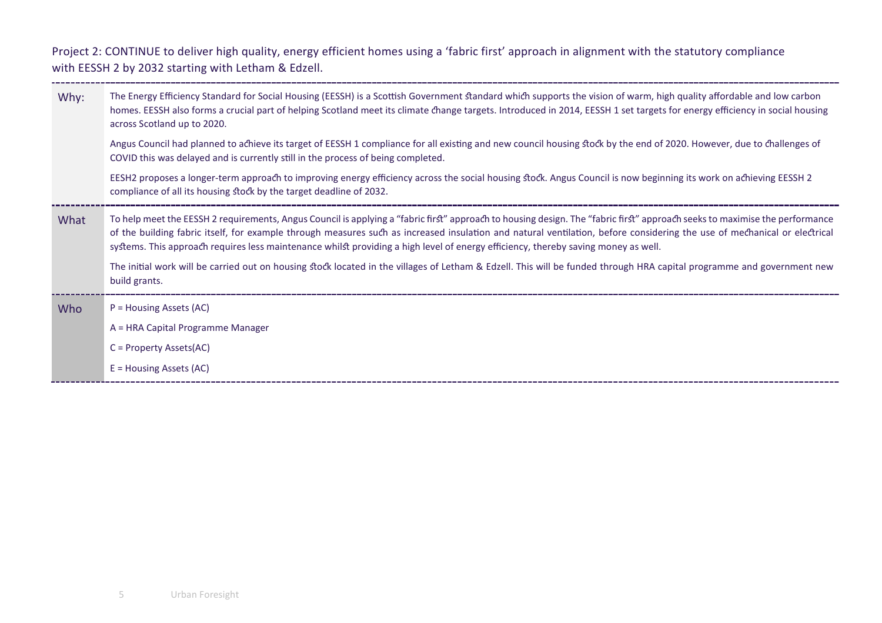Project 2: CONTINUE to deliver high quality, energy efficient homes using a 'fabric first' approach in alignment with the statutory compliance with EESSH 2 by 2032 starting with Letham & Edzell.

\_\_\_\_\_\_\_\_\_\_\_\_\_\_\_\_\_

| EESH2 proposes a longer-term approach to improving energy efficiency across the social housing stock. Angus Council is now beginning its work on achieving EESSH 2                                                                                                                                                                                                                                                                                                                                    | homes. EESSH also forms a crucial part of helping Scotland meet its climate change targets. Introduced in 2014, EESSH 1 set targets for energy efficiency in social housing<br>Angus Council had planned to achieve its target of EESSH 1 compliance for all existing and new council housing stock by the end of 2020. However, due to challenges of |
|-------------------------------------------------------------------------------------------------------------------------------------------------------------------------------------------------------------------------------------------------------------------------------------------------------------------------------------------------------------------------------------------------------------------------------------------------------------------------------------------------------|-------------------------------------------------------------------------------------------------------------------------------------------------------------------------------------------------------------------------------------------------------------------------------------------------------------------------------------------------------|
| compliance of all its housing stock by the target deadline of 2032.                                                                                                                                                                                                                                                                                                                                                                                                                                   |                                                                                                                                                                                                                                                                                                                                                       |
| To help meet the EESSH 2 requirements, Angus Council is applying a "fabric first" approach to housing design. The "fabric first" approach seeks to maximise the performance<br>What<br>of the building fabric itself, for example through measures such as increased insulation and natural ventilation, before considering the use of mechanical or electrical<br>systems. This approach requires less maintenance whilst providing a high level of energy efficiency, thereby saving money as well. |                                                                                                                                                                                                                                                                                                                                                       |
| The initial work will be carried out on housing stock located in the villages of Letham & Edzell. This will be funded through HRA capital programme and government new<br>build grants.                                                                                                                                                                                                                                                                                                               |                                                                                                                                                                                                                                                                                                                                                       |
| P = Housing Assets (AC)<br>Who                                                                                                                                                                                                                                                                                                                                                                                                                                                                        |                                                                                                                                                                                                                                                                                                                                                       |
| A = HRA Capital Programme Manager                                                                                                                                                                                                                                                                                                                                                                                                                                                                     |                                                                                                                                                                                                                                                                                                                                                       |
| $C = Property Assets(AC)$                                                                                                                                                                                                                                                                                                                                                                                                                                                                             |                                                                                                                                                                                                                                                                                                                                                       |
| $E =$ Housing Assets (AC)                                                                                                                                                                                                                                                                                                                                                                                                                                                                             |                                                                                                                                                                                                                                                                                                                                                       |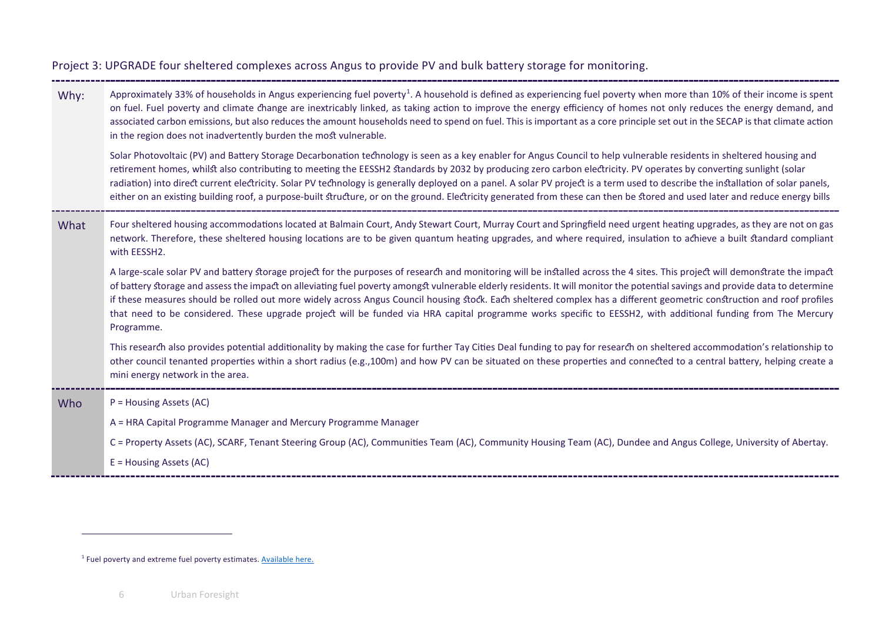### <span id="page-5-0"></span>Project 3: UPGRADE four sheltered complexes across Angus to provide PV and bulk battery storage for monitoring.

| Why: | Approximately 33% of households in Angus experiencing fuel poverty <sup>1</sup> . A household is defined as experiencing fuel poverty when more than 10% of their income is spent<br>on fuel. Fuel poverty and climate change are inextricably linked, as taking action to improve the energy efficiency of homes not only reduces the energy demand, and<br>associated carbon emissions, but also reduces the amount households need to spend on fuel. This is important as a core principle set out in the SECAP is that climate action<br>in the region does not inadvertently burden the most vulnerable.<br>Solar Photovoltaic (PV) and Battery Storage Decarbonation technology is seen as a key enabler for Angus Council to help vulnerable residents in sheltered housing and<br>retirement homes, whilst also contributing to meeting the EESSH2 standards by 2032 by producing zero carbon electricity. PV operates by converting sunlight (solar<br>radiation) into direct current electricity. Solar PV technology is generally deployed on a panel. A solar PV project is a term used to describe the installation of solar panels,<br>either on an existing building roof, a purpose-built structure, or on the ground. Electricity generated from these can then be stored and used later and reduce energy bills |
|------|-----------------------------------------------------------------------------------------------------------------------------------------------------------------------------------------------------------------------------------------------------------------------------------------------------------------------------------------------------------------------------------------------------------------------------------------------------------------------------------------------------------------------------------------------------------------------------------------------------------------------------------------------------------------------------------------------------------------------------------------------------------------------------------------------------------------------------------------------------------------------------------------------------------------------------------------------------------------------------------------------------------------------------------------------------------------------------------------------------------------------------------------------------------------------------------------------------------------------------------------------------------------------------------------------------------------------------------|
|      |                                                                                                                                                                                                                                                                                                                                                                                                                                                                                                                                                                                                                                                                                                                                                                                                                                                                                                                                                                                                                                                                                                                                                                                                                                                                                                                                   |
| What | Four sheltered housing accommodations located at Balmain Court, Andy Stewart Court, Murray Court and Springfield need urgent heating upgrades, as they are not on gas<br>network. Therefore, these sheltered housing locations are to be given quantum heating upgrades, and where required, insulation to achieve a built standard compliant<br>with EESSH2.                                                                                                                                                                                                                                                                                                                                                                                                                                                                                                                                                                                                                                                                                                                                                                                                                                                                                                                                                                     |
|      | A large-scale solar PV and battery storage project for the purposes of research and monitoring will be installed across the 4 sites. This project will demonstrate the impact<br>of battery storage and assess the impact on alleviating fuel poverty amongst vulnerable elderly residents. It will monitor the potential savings and provide data to determine<br>if these measures should be rolled out more widely across Angus Council housing stock. Each sheltered complex has a different geometric construction and roof profiles<br>that need to be considered. These upgrade project will be funded via HRA capital programme works specific to EESSH2, with additional funding from The Mercury<br>Programme.                                                                                                                                                                                                                                                                                                                                                                                                                                                                                                                                                                                                          |
|      | This research also provides potential additionality by making the case for further Tay Cities Deal funding to pay for research on sheltered accommodation's relationship to<br>other council tenanted properties within a short radius (e.g.,100m) and how PV can be situated on these properties and connected to a central battery, helping create a<br>mini energy network in the area.                                                                                                                                                                                                                                                                                                                                                                                                                                                                                                                                                                                                                                                                                                                                                                                                                                                                                                                                        |
| Who  | P = Housing Assets (AC)                                                                                                                                                                                                                                                                                                                                                                                                                                                                                                                                                                                                                                                                                                                                                                                                                                                                                                                                                                                                                                                                                                                                                                                                                                                                                                           |
|      | A = HRA Capital Programme Manager and Mercury Programme Manager                                                                                                                                                                                                                                                                                                                                                                                                                                                                                                                                                                                                                                                                                                                                                                                                                                                                                                                                                                                                                                                                                                                                                                                                                                                                   |
|      |                                                                                                                                                                                                                                                                                                                                                                                                                                                                                                                                                                                                                                                                                                                                                                                                                                                                                                                                                                                                                                                                                                                                                                                                                                                                                                                                   |
|      | C = Property Assets (AC), SCARF, Tenant Steering Group (AC), Communities Team (AC), Community Housing Team (AC), Dundee and Angus College, University of Abertay.                                                                                                                                                                                                                                                                                                                                                                                                                                                                                                                                                                                                                                                                                                                                                                                                                                                                                                                                                                                                                                                                                                                                                                 |
|      | E = Housing Assets (AC)                                                                                                                                                                                                                                                                                                                                                                                                                                                                                                                                                                                                                                                                                                                                                                                                                                                                                                                                                                                                                                                                                                                                                                                                                                                                                                           |

<sup>&</sup>lt;sup>1</sup> Fuel poverty and extreme fuel poverty estimates[. Available here.](https://www.gov.scot/publications/latest-estimates-fuel-poverty-extreme-fuel-poverty-under-proposed-new-definition-following-stage-2-fuel-poverty-targets-definition-strategy-scotland-bill/pages/5/)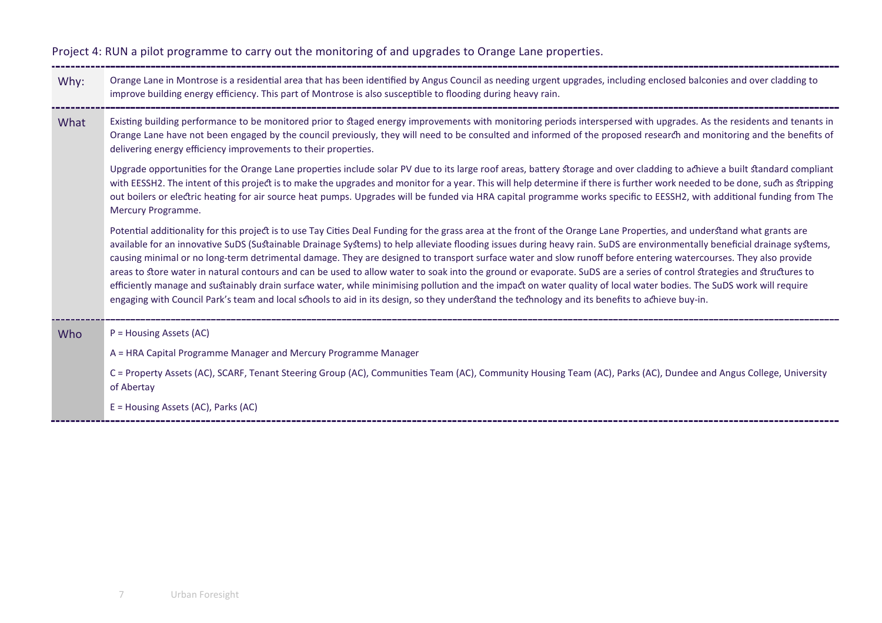#### Project 4: RUN a pilot programme to carry out the monitoring of and upgrades to Orange Lane properties.

- Why: Orange Lane in Montrose is a residential area that has been identified by Angus Council as needing urgent upgrades, including enclosed balconies and over cladding to improve building energy efficiency. This part of Montrose is also susceptible to flooding during heavy rain.
- What Existing building performance to be monitored prior to staged energy improvements with monitoring periods interspersed with upgrades. As the residents and tenants in Orange Lane have not been engaged by the council previously, they will need to be consulted and informed of the proposed resear� and monitoring and the benefits of delivering energy efficiency improvements to their properties.

Upgrade opportunities for the Orange Lane properties include solar PV due to its large roof areas, battery storage and over cladding to achieve a built standard compliant with EESSH2. The intent of this project is to make the upgrades and monitor for a year. This will help determine if there is further work needed to be done, such as stripping out boilers or electric heating for air source heat pumps. Upgrades will be funded via HRA capital programme works specific to EESSH2, with additional funding from The Mercury Programme.

Potential additionality for this project is to use Tay Cities Deal Funding for the grass area at the front of the Orange Lane Properties, and understand what grants are available for an innovative SuDS (Sustainable Drainage Systems) to help alleviate flooding issues during heavy rain. SuDS are environmentally beneficial drainage systems, causing minimal or no long-term detrimental damage. They are designed to transport surface water and slow runoff before entering watercourses. They also provide areas to store water in natural contours and can be used to allow water to soak into the ground or evaporate. SuDS are a series of control strategies and structures to efficiently manage and sustainably drain surface water, while minimising pollution and the impact on water quality of local water bodies. The SuDS work will require engaging with Council Park's team and local schools to aid in its design, so they understand the technology and its benefits to achieve buy-in.

| Who | $P =$ Housing Assets (AC)                                                                                                                                                       |
|-----|---------------------------------------------------------------------------------------------------------------------------------------------------------------------------------|
|     | A = HRA Capital Programme Manager and Mercury Programme Manager                                                                                                                 |
|     | C = Property Assets (AC), SCARF, Tenant Steering Group (AC), Communities Team (AC), Community Housing Team (AC), Parks (AC), Dundee and Angus College, University<br>of Abertay |
|     | $E =$ Housing Assets (AC), Parks (AC)                                                                                                                                           |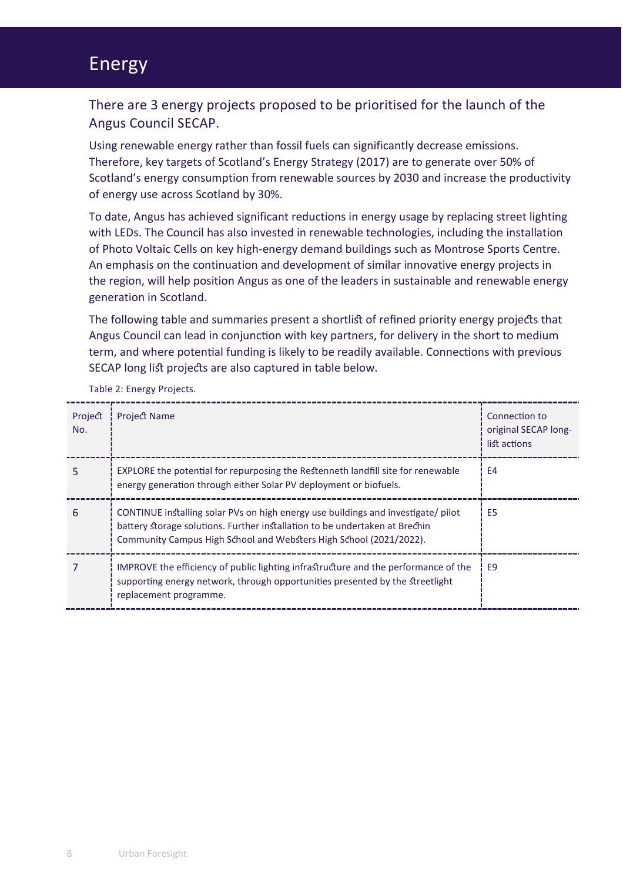## Energy

There are 3 energy projects proposed to be prioritised for the launch of the Angus Council SECAP.

Using renewable energy rather than fossil fuels can significantly decrease emissions. Therefore, key targets of Scotland's Energy Strategy (2017) are to generate over 50% of Scotland's energy consumption from renewable sources by 2030 and increase the productivity of energy use across Scotland by 30%.

To date, Angus has achieved significant reductions in energy usage by replacing street lighting with LEDs. The Council has also invested in renewable technologies, including the installation of Photo Voltaic Cells on key high-energy demand buildings such as Montrose Sports Centre. An emphasis on the continuation and development of similar innovative energy projects in the region, will help position Angus as one of the leaders in sustainable and renewable energy generation in Scotland.

The following table and summaries present a shortlist of refined priority energy projects that Angus Council can lead in conjunction with key partners, for delivery in the short to medium term, and where potential funding is likely to be readily available. Connections with previous SECAP long list projects are also captured in table below.

| Project<br>No. | <b>Project Name</b>                                                                                                                                                                                                                    | Connection to<br>original SECAP long-<br>list actions |
|----------------|----------------------------------------------------------------------------------------------------------------------------------------------------------------------------------------------------------------------------------------|-------------------------------------------------------|
| 5              | EXPLORE the potential for repurposing the Restenneth landfill site for renewable<br>energy generation through either Solar PV deployment or biofuels.                                                                                  | E4                                                    |
| 6              | CONTINUE installing solar PVs on high energy use buildings and investigate/ pilot<br>battery storage solutions. Further installation to be undertaken at Brechin<br>Community Campus High School and Websters High School (2021/2022). | E <sub>5</sub>                                        |
|                | IMPROVE the efficiency of public lighting infrastructure and the performance of the<br>supporting energy network, through opportunities presented by the streetlight<br>replacement programme.                                         | E <sub>9</sub>                                        |

Table 2: Energy Projects.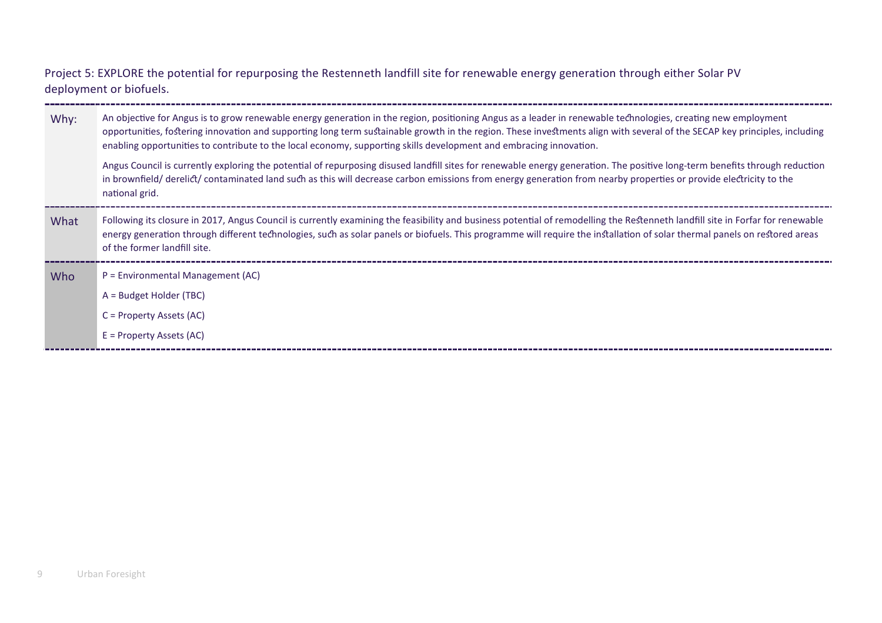Project 5: EXPLORE the potential for repurposing the Restenneth landfill site for renewable energy generation through either Solar PV deployment or biofuels.

| Why: | An objective for Angus is to grow renewable energy generation in the region, positioning Angus as a leader in renewable technologies, creating new employment<br>opportunities, fostering innovation and supporting long term sustainable growth in the region. These investments align with several of the SECAP key principles, including<br>enabling opportunities to contribute to the local economy, supporting skills development and embracing innovation. |
|------|-------------------------------------------------------------------------------------------------------------------------------------------------------------------------------------------------------------------------------------------------------------------------------------------------------------------------------------------------------------------------------------------------------------------------------------------------------------------|
|      | Angus Council is currently exploring the potential of repurposing disused landfill sites for renewable energy generation. The positive long-term benefits through reduction<br>in brownfield/ derelict/ contaminated land such as this will decrease carbon emissions from energy generation from nearby properties or provide electricity to the<br>national grid.                                                                                               |
| What | Following its closure in 2017, Angus Council is currently examining the feasibility and business potential of remodelling the Restenneth landfill site in Forfar for renewable<br>energy generation through different technologies, such as solar panels or biofuels. This programme will require the installation of solar thermal panels on restored areas<br>of the former landfill site.                                                                      |
| Who  | $P =$ Environmental Management (AC)                                                                                                                                                                                                                                                                                                                                                                                                                               |
|      | $A = BudgetHolder (TBC)$                                                                                                                                                                                                                                                                                                                                                                                                                                          |
|      | $C = Property Assets (AC)$                                                                                                                                                                                                                                                                                                                                                                                                                                        |
|      | $E = Property Assets (AC)$                                                                                                                                                                                                                                                                                                                                                                                                                                        |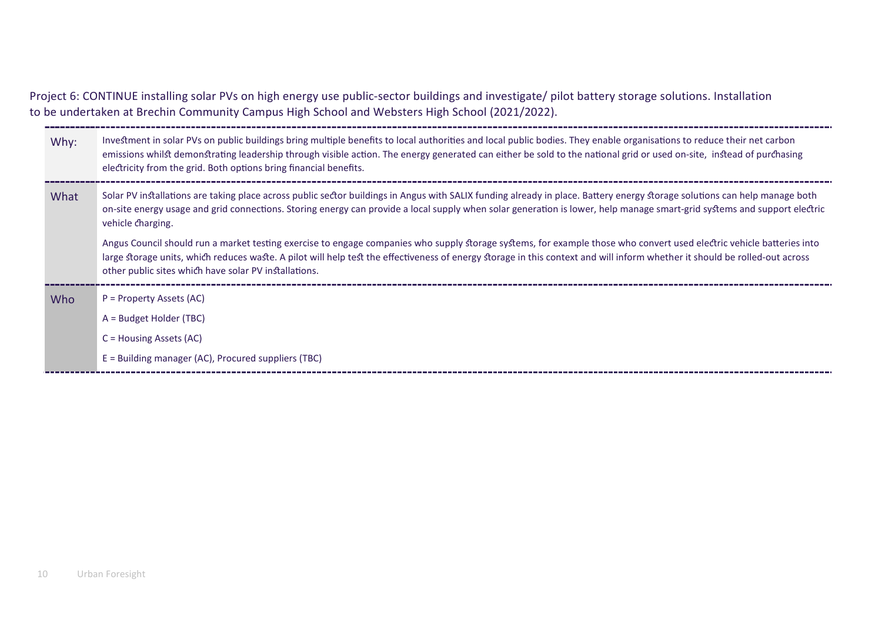Project 6: CONTINUE installing solar PVs on high energy use public-sector buildings and investigate/ pilot battery storage solutions. Installation to be undertaken at Brechin Community Campus High School and Websters High School (2021/2022).

| Why: | Investment in solar PVs on public buildings bring multiple benefits to local authorities and local public bodies. They enable organisations to reduce their net carbon<br>emissions whilst demonstrating leadership through visible action. The energy generated can either be sold to the national grid or used on-site, instead of purchasing<br>electricity from the grid. Both options bring financial benefits. |
|------|----------------------------------------------------------------------------------------------------------------------------------------------------------------------------------------------------------------------------------------------------------------------------------------------------------------------------------------------------------------------------------------------------------------------|
| What | Solar PV installations are taking place across public sector buildings in Angus with SALIX funding already in place. Battery energy storage solutions can help manage both<br>on-site energy usage and grid connections. Storing energy can provide a local supply when solar generation is lower, help manage smart-grid systems and support electric<br>vehicle charging.                                          |
|      | Angus Council should run a market testing exercise to engage companies who supply storage systems, for example those who convert used electric vehicle batteries into<br>large storage units, which reduces waste. A pilot will help test the effectiveness of energy storage in this context and will inform whether it should be rolled-out across<br>other public sites which have solar PV installations.        |
| Who  | P = Property Assets (AC)                                                                                                                                                                                                                                                                                                                                                                                             |
|      | $A = BudgetHolder (TBC)$                                                                                                                                                                                                                                                                                                                                                                                             |
|      | $C =$ Housing Assets (AC)                                                                                                                                                                                                                                                                                                                                                                                            |
|      | $E =$ Building manager (AC), Procured suppliers (TBC)                                                                                                                                                                                                                                                                                                                                                                |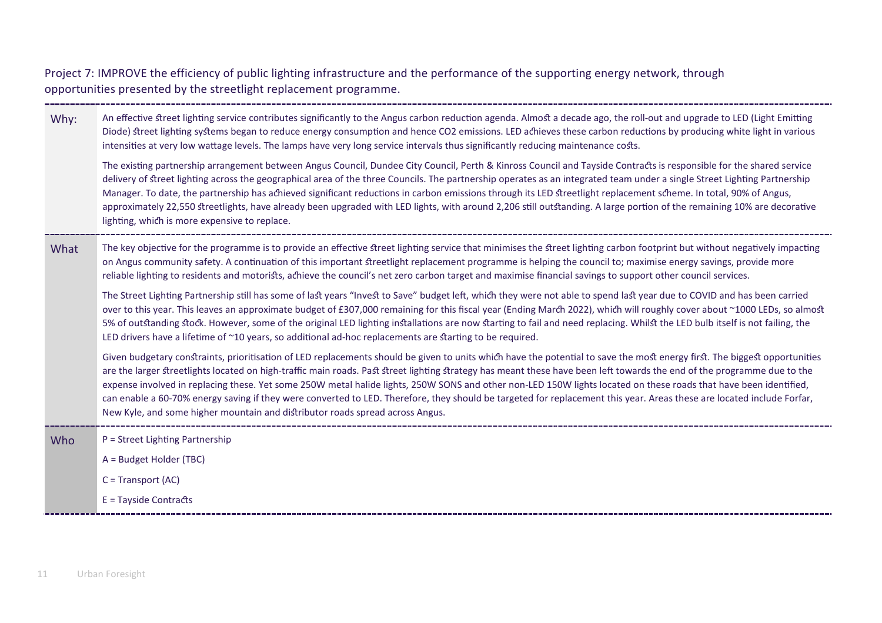Project 7: IMPROVE the efficiency of public lighting infrastructure and the performance of the supporting energy network, through opportunities presented by the streetlight replacement programme.

Why: An effective street lighting service contributes significantly to the Angus carbon reduction agenda. Almost a decade ago, the roll-out and upgrade to LED (Light Emitting Diode) street lighting systems began to reduce energy consumption and hence CO2 emissions. LED achieves these carbon reductions by producing white light in various intensities at very low wattage levels. The lamps have very long service intervals thus significantly reducing maintenance costs.

The existing partnership arrangement between Angus Council, Dundee City Council, Perth & Kinross Council and Tayside Contracts is responsible for the shared service delivery of street lighting across the geographical area of the three Councils. The partnership operates as an integrated team under a single Street Lighting Partnership Manager. To date, the partnership has achieved significant reductions in carbon emissions through its LED streetlight replacement scheme. In total, 90% of Angus, approximately 22,550 streetlights, have already been upgraded with LED lights, with around 2,206 still outstanding. A large portion of the remaining 10% are decorative lighting, which is more expensive to replace.

What The key objective for the programme is to provide an effective street lighting service that minimises the street lighting carbon footprint but without negatively impacting on Angus community safety. A continuation of this important streetlight replacement programme is helping the council to; maximise energy savings, provide more reliable lighting to residents and motorists, achieve the council's net zero carbon target and maximise financial savings to support other council services.

The Street Lighting Partnership still has some of last years "Invest to Save" budget left, which they were not able to spend last year due to COVID and has been carried over to this year. This leaves an approximate budget of £307,000 remaining for this fiscal year (Ending March 2022), which will roughly cover about ~1000 LEDs, so almost 5% of outstanding stock. However, some of the original LED lighting installations are now starting to fail and need replacing. Whilst the LED bulb itself is not failing, the LED drivers have a lifetime of  $\sim$ 10 years, so additional ad-hoc replacements are starting to be required.

Given budgetary constraints, prioritisation of LED replacements should be given to units which have the potential to save the most energy first. The biggest opportunities are the larger streetlights located on high-traffic main roads. Past street lighting strategy has meant these have been left towards the end of the programme due to the expense involved in replacing these. Yet some 250W metal halide lights, 250W SONS and other non-LED 150W lights located on these roads that have been identified, can enable a 60-70% energy saving if they were converted to LED. Therefore, they should be targeted for replacement this year. Areas these are located include Forfar, New Kyle, and some higher mountain and di�ributor roads spread across Angus.

Who  $P =$  Street Lighting Partnership

A = Budget Holder (TBC)

C = Transport (AC)

 $E =$ Tayside Contracts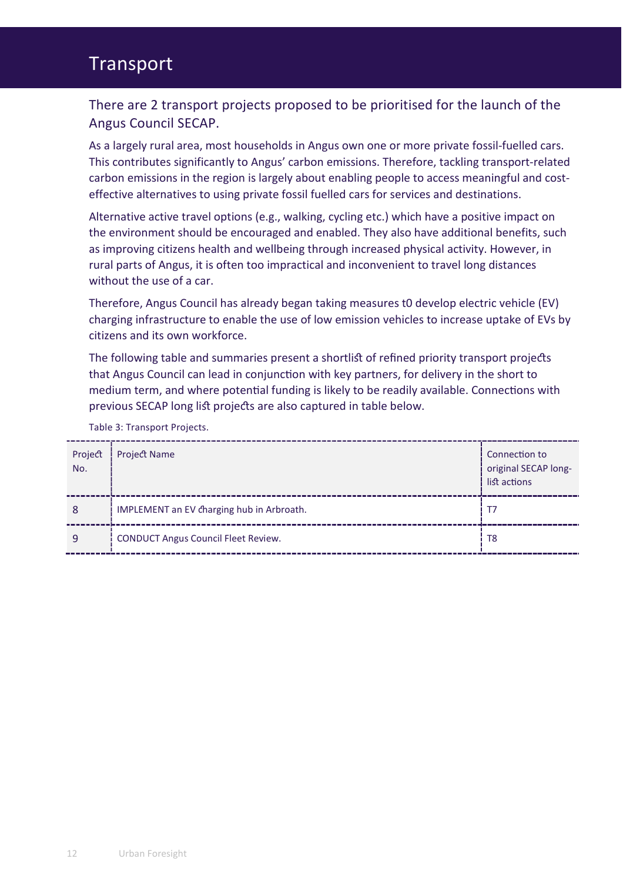## Transport

### There are 2 transport projects proposed to be prioritised for the launch of the Angus Council SECAP.

As a largely rural area, most households in Angus own one or more private fossil-fuelled cars. This contributes significantly to Angus' carbon emissions. Therefore, tackling transport-related carbon emissions in the region is largely about enabling people to access meaningful and costeffective alternatives to using private fossil fuelled cars for services and destinations.

Alternative active travel options (e.g., walking, cycling etc.) which have a positive impact on the environment should be encouraged and enabled. They also have additional benefits, such as improving citizens health and wellbeing through increased physical activity. However, in rural parts of Angus, it is often too impractical and inconvenient to travel long distances without the use of a car.

Therefore, Angus Council has already began taking measures t0 develop electric vehicle (EV) charging infrastructure to enable the use of low emission vehicles to increase uptake of EVs by citizens and its own workforce.

The following table and summaries present a shortlist of refined priority transport projects that Angus Council can lead in conjunction with key partners, for delivery in the short to medium term, and where potential funding is likely to be readily available. Connections with previous SECAP long list projects are also captured in table below.

| Project<br>No. | Project Name                               | Connection to<br>original SECAP long-<br>list actions |
|----------------|--------------------------------------------|-------------------------------------------------------|
| 8              | IMPLEMENT an EV charging hub in Arbroath.  | T7                                                    |
| 9              | <b>CONDUCT Angus Council Fleet Review.</b> | T <sub>8</sub>                                        |

Table 3: Transport Projects.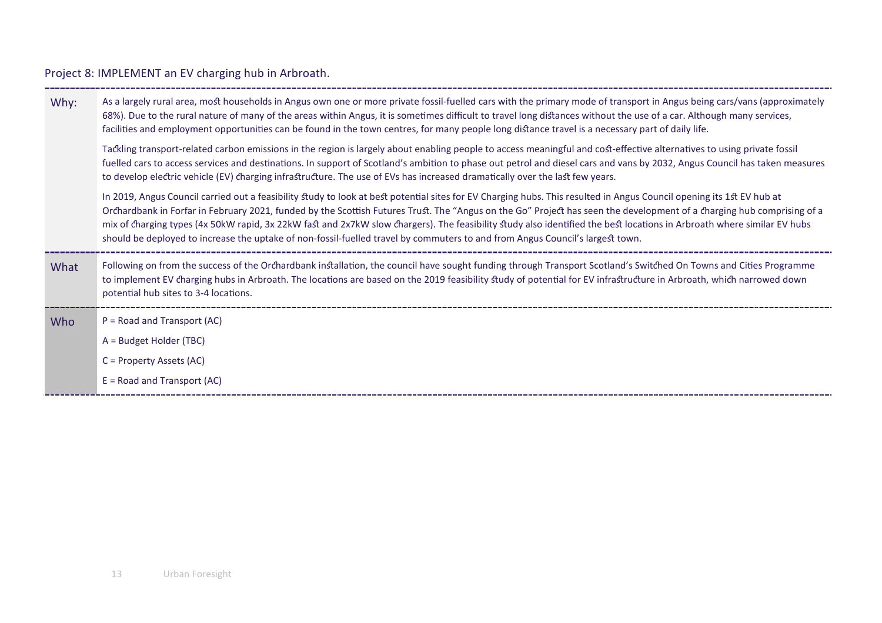## Project 8: IMPLEMENT an EV charging hub in Arbroath.

| Why: | As a largely rural area, most households in Angus own one or more private fossil-fuelled cars with the primary mode of transport in Angus being cars/vans (approximately<br>68%). Due to the rural nature of many of the areas within Angus, it is sometimes difficult to travel long distances without the use of a car. Although many services,<br>facilities and employment opportunities can be found in the town centres, for many people long distance travel is a necessary part of daily life.<br>Tackling transport-related carbon emissions in the region is largely about enabling people to access meaningful and cost-effective alternatives to using private fossil<br>fuelled cars to access services and destinations. In support of Scotland's ambition to phase out petrol and diesel cars and vans by 2032, Angus Council has taken measures |
|------|-----------------------------------------------------------------------------------------------------------------------------------------------------------------------------------------------------------------------------------------------------------------------------------------------------------------------------------------------------------------------------------------------------------------------------------------------------------------------------------------------------------------------------------------------------------------------------------------------------------------------------------------------------------------------------------------------------------------------------------------------------------------------------------------------------------------------------------------------------------------|
|      | to develop electric vehicle (EV) charging infrastructure. The use of EVs has increased dramatically over the last few years.<br>In 2019, Angus Council carried out a feasibility study to look at best potential sites for EV Charging hubs. This resulted in Angus Council opening its 1st EV hub at<br>Orchardbank in Forfar in February 2021, funded by the Scottish Futures Trust. The "Angus on the Go" Project has seen the development of a charging hub comprising of a<br>mix of charging types (4x 50kW rapid, 3x 22kW fast and 2x7kW slow chargers). The feasibility study also identified the best locations in Arbroath where similar EV hubs<br>should be deployed to increase the uptake of non-fossil-fuelled travel by commuters to and from Angus Council's largest town.                                                                     |
| What | Following on from the success of the Orchardbank installation, the council have sought funding through Transport Scotland's Switched On Towns and Cities Programme<br>to implement EV charging hubs in Arbroath. The locations are based on the 2019 feasibility study of potential for EV infrastructure in Arbroath, which narrowed down<br>potential hub sites to 3-4 locations.                                                                                                                                                                                                                                                                                                                                                                                                                                                                             |
| Who  | $P = Road$ and Transport (AC)<br>A = Budget Holder (TBC)<br>C = Property Assets (AC)<br>$E =$ Road and Transport (AC)                                                                                                                                                                                                                                                                                                                                                                                                                                                                                                                                                                                                                                                                                                                                           |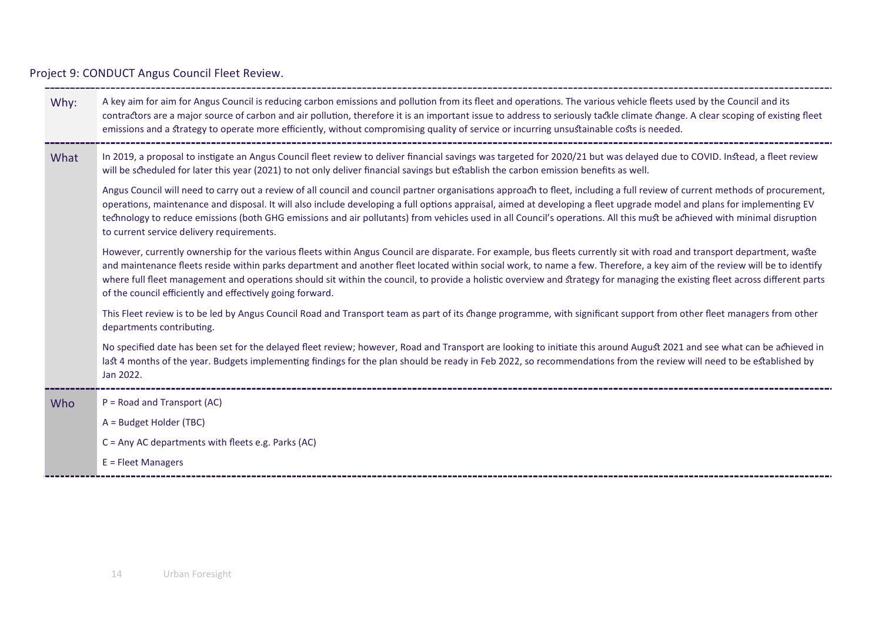Project 9: CONDUCT Angus Council Fleet Review.

| Why: | A key aim for aim for Angus Council is reducing carbon emissions and pollution from its fleet and operations. The various vehicle fleets used by the Council and its<br>contractors are a major source of carbon and air pollution, therefore it is an important issue to address to seriously tackle climate change. A clear scoping of existing fleet<br>emissions and a strategy to operate more efficiently, without compromising quality of service or incurring unsustainable costs is needed.                                                                                              |
|------|---------------------------------------------------------------------------------------------------------------------------------------------------------------------------------------------------------------------------------------------------------------------------------------------------------------------------------------------------------------------------------------------------------------------------------------------------------------------------------------------------------------------------------------------------------------------------------------------------|
| What | In 2019, a proposal to instigate an Angus Council fleet review to deliver financial savings was targeted for 2020/21 but was delayed due to COVID. Instead, a fleet review<br>will be scheduled for later this year (2021) to not only deliver financial savings but establish the carbon emission benefits as well.                                                                                                                                                                                                                                                                              |
|      | Angus Council will need to carry out a review of all council and council partner organisations approach to fleet, including a full review of current methods of procurement,<br>operations, maintenance and disposal. It will also include developing a full options appraisal, aimed at developing a fleet upgrade model and plans for implementing EV<br>technology to reduce emissions (both GHG emissions and air pollutants) from vehicles used in all Council's operations. All this must be achieved with minimal disruption<br>to current service delivery requirements.                  |
|      | However, currently ownership for the various fleets within Angus Council are disparate. For example, bus fleets currently sit with road and transport department, waste<br>and maintenance fleets reside within parks department and another fleet located within social work, to name a few. Therefore, a key aim of the review will be to identify<br>where full fleet management and operations should sit within the council, to provide a holistic overview and strategy for managing the existing fleet across different parts<br>of the council efficiently and effectively going forward. |
|      | This Fleet review is to be led by Angus Council Road and Transport team as part of its change programme, with significant support from other fleet managers from other<br>departments contributing.                                                                                                                                                                                                                                                                                                                                                                                               |
|      | No specified date has been set for the delayed fleet review; however, Road and Transport are looking to initiate this around August 2021 and see what can be achieved in<br>last 4 months of the year. Budgets implementing findings for the plan should be ready in Feb 2022, so recommendations from the review will need to be established by<br>Jan 2022.                                                                                                                                                                                                                                     |
| Who  | $P = Road$ and Transport (AC)                                                                                                                                                                                                                                                                                                                                                                                                                                                                                                                                                                     |
|      | A = Budget Holder (TBC)                                                                                                                                                                                                                                                                                                                                                                                                                                                                                                                                                                           |
|      | $C =$ Any AC departments with fleets e.g. Parks (AC)                                                                                                                                                                                                                                                                                                                                                                                                                                                                                                                                              |
|      | $E =$ Fleet Managers                                                                                                                                                                                                                                                                                                                                                                                                                                                                                                                                                                              |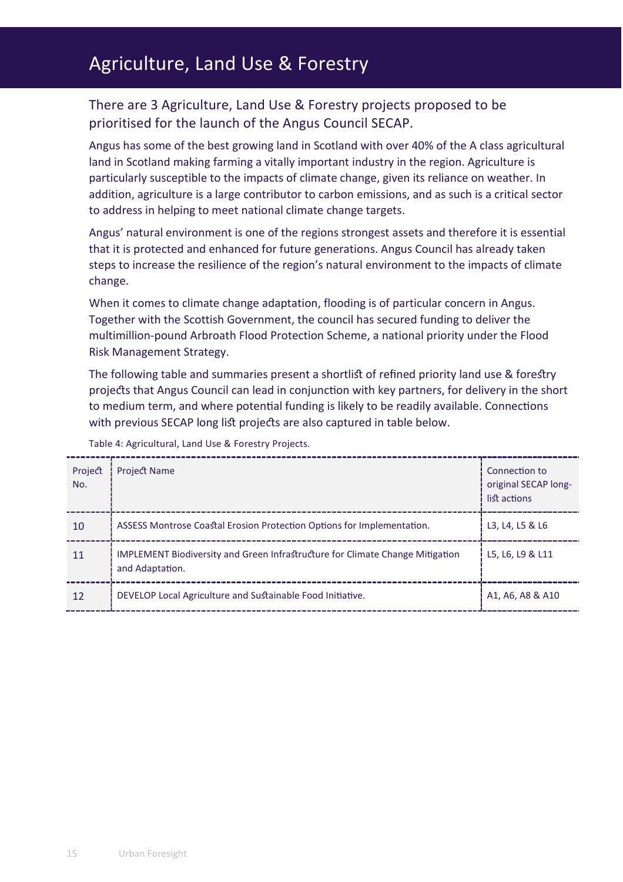# Agriculture, Land Use & Forestry

## There are 3 Agriculture, Land Use & Forestry projects proposed to be prioritised for the launch of the Angus Council SECAP.

Angus has some of the best growing land in Scotland with over 40% of the A class agricultural land in Scotland making farming a vitally important industry in the region. Agriculture is particularly susceptible to the impacts of climate change, given its reliance on weather. In addition, agriculture is a large contributor to carbon emissions, and as such is a critical sector to address in helping to meet national climate change targets.

Angus' natural environment is one of the regions strongest assets and therefore it is essential that it is protected and enhanced for future generations. Angus Council has already taken steps to increase the resilience of the region's natural environment to the impacts of climate change.

When it comes to climate change adaptation, flooding is of particular concern in Angus. Together with the Scottish Government, the council has secured funding to deliver the multimillion-pound Arbroath Flood Protection Scheme, a national priority under the Flood Risk Management Strategy.

The following table and summaries present a shortlist of refined priority land use & forestry projects that Angus Council can lead in conjunction with key partners, for delivery in the short to medium term, and where potential funding is likely to be readily available. Connections with previous SECAP long list projects are also captured in table below.

| Project<br>No. | <b>Project Name</b>                                                                                     | Connection to<br>original SECAP long-<br>list actions |
|----------------|---------------------------------------------------------------------------------------------------------|-------------------------------------------------------|
| 10             | ASSESS Montrose Coastal Erosion Protection Options for Implementation.                                  | L3, L4, L5 & L6                                       |
| 11             | <b>IMPLEMENT Biodiversity and Green Infrastructure for Climate Change Mitigation</b><br>and Adaptation. | L5, L6, L9 & L11                                      |
| 12             | DEVELOP Local Agriculture and Sustainable Food Initiative.                                              | A1, A6, A8 & A10                                      |

Table 4: Agricultural, Land Use & Forestry Projects.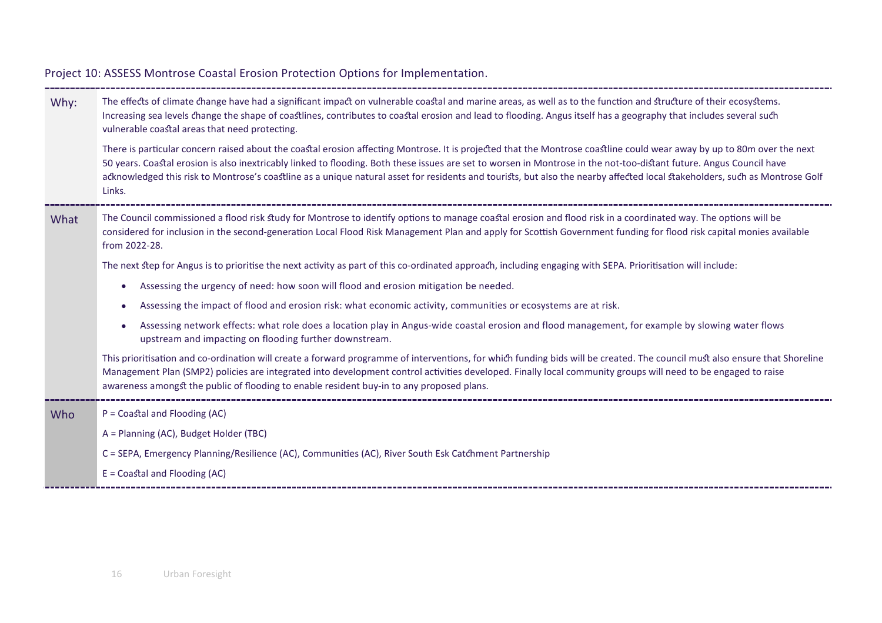| Why: | The effects of climate change have had a significant impact on vulnerable coastal and marine areas, as well as to the function and structure of their ecosystems.<br>Increasing sea levels change the shape of coastlines, contributes to coastal erosion and lead to flooding. Angus itself has a geography that includes several such<br>vulnerable coastal areas that need protecting.                                                                                                                                                |
|------|------------------------------------------------------------------------------------------------------------------------------------------------------------------------------------------------------------------------------------------------------------------------------------------------------------------------------------------------------------------------------------------------------------------------------------------------------------------------------------------------------------------------------------------|
|      | There is particular concern raised about the coastal erosion affecting Montrose. It is projected that the Montrose coastline could wear away by up to 80m over the next<br>50 years. Coastal erosion is also inextricably linked to flooding. Both these issues are set to worsen in Montrose in the not-too-distant future. Angus Council have<br>acknowledged this risk to Montrose's coastline as a unique natural asset for residents and tourists, but also the nearby affected local stakeholders, such as Montrose Golf<br>Links. |
| What | The Council commissioned a flood risk study for Montrose to identify options to manage coastal erosion and flood risk in a coordinated way. The options will be<br>considered for inclusion in the second-generation Local Flood Risk Management Plan and apply for Scottish Government funding for flood risk capital monies available<br>from 2022-28.                                                                                                                                                                                 |
|      | The next step for Angus is to prioritise the next activity as part of this co-ordinated approach, including engaging with SEPA. Prioritisation will include:                                                                                                                                                                                                                                                                                                                                                                             |
|      | Assessing the urgency of need: how soon will flood and erosion mitigation be needed.<br>$\bullet$                                                                                                                                                                                                                                                                                                                                                                                                                                        |
|      | Assessing the impact of flood and erosion risk: what economic activity, communities or ecosystems are at risk.                                                                                                                                                                                                                                                                                                                                                                                                                           |
|      | Assessing network effects: what role does a location play in Angus-wide coastal erosion and flood management, for example by slowing water flows<br>upstream and impacting on flooding further downstream.                                                                                                                                                                                                                                                                                                                               |
|      | This prioritisation and co-ordination will create a forward programme of interventions, for which funding bids will be created. The council must also ensure that Shoreline<br>Management Plan (SMP2) policies are integrated into development control activities developed. Finally local community groups will need to be engaged to raise<br>awareness amongst the public of flooding to enable resident buy-in to any proposed plans.                                                                                                |
| Who  | $P =$ Coastal and Flooding (AC)                                                                                                                                                                                                                                                                                                                                                                                                                                                                                                          |
|      | A = Planning (AC), Budget Holder (TBC)                                                                                                                                                                                                                                                                                                                                                                                                                                                                                                   |
|      | C = SEPA, Emergency Planning/Resilience (AC), Communities (AC), River South Esk Catchment Partnership                                                                                                                                                                                                                                                                                                                                                                                                                                    |
|      | $E =$ Coastal and Flooding (AC)                                                                                                                                                                                                                                                                                                                                                                                                                                                                                                          |

Project 10: ASSESS Montrose Coastal Erosion Protection Options for Implementation.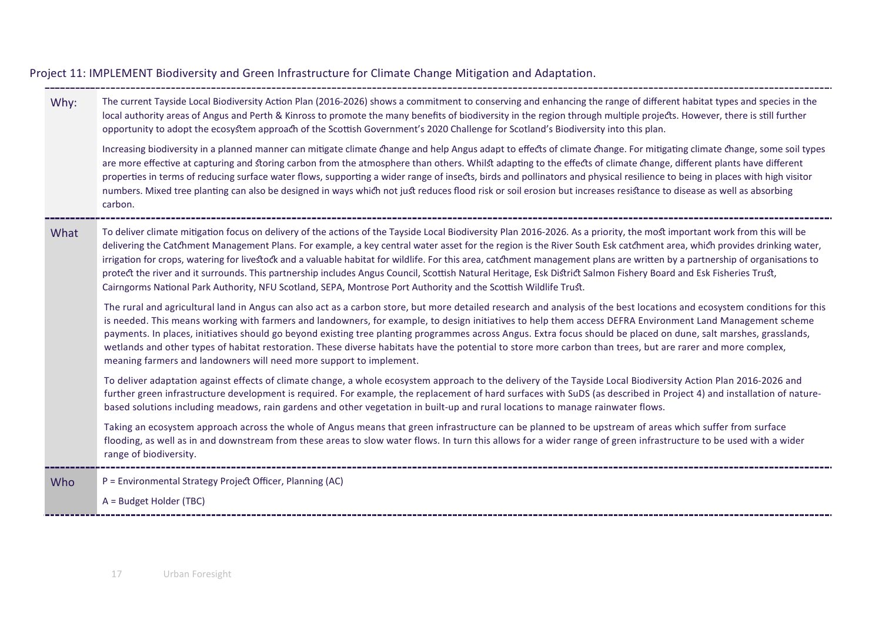Why: The current Tayside Local Biodiversity Action Plan (2016-2026) shows a commitment to conserving and enhancing the range of different habitat types and species in the local authority areas of Angus and Perth & Kinross to promote the many benefits of biodiversity in the region through multiple projects. However, there is still further opportunity to adopt the ecosystem approach of the Scottish Government's 2020 Challenge for Scotland's Biodiversity into this plan. Increasing biodiversity in a planned manner can mitigate climate change and help Angus adapt to effects of climate change. For mitigating climate change, some soil types are more effective at capturing and storing carbon from the atmosphere than others. Whilst adapting to the effects of climate change, different plants have different properties in terms of reducing surface water flows, supporting a wider range of insects, birds and pollinators and physical resilience to being in places with high visitor numbers. Mixed tree planting can also be designed in ways which not just reduces flood risk or soil erosion but increases resistance to disease as well as absorbing carbon. What To deliver climate mitigation focus on delivery of the actions of the Tayside Local Biodiversity Plan 2016-2026. As a priority, the most important work from this will be delivering the Catchment Management Plans. For example, a key central water asset for the region is the River South Esk catchment area, which provides drinking water, irrigation for crops, watering for livestock and a valuable habitat for wildlife. For this area, catchment management plans are written by a partnership of organisations to protect the river and it surrounds. This partnership includes Angus Council, Scottish Natural Heritage, Esk District Salmon Fishery Board and Esk Fisheries Trust, Cairngorms National Park Authority, NFU Scotland, SEPA, Montrose Port Authority and the Scottish Wildlife Trust. The rural and agricultural land in Angus can also act as a carbon store, but more detailed research and analysis of the best locations and ecosystem conditions for this is needed. This means working with farmers and landowners, for example, to design initiatives to help them access DEFRA Environment Land Management scheme payments. In places, initiatives should go beyond existing tree planting programmes across Angus. Extra focus should be placed on dune, salt marshes, grasslands, wetlands and other types of habitat restoration. These diverse habitats have the potential to store more carbon than trees, but are rarer and more complex,

Project 11: IMPLEMENT Biodiversity and Green Infrastructure for Climate Change Mitigation and Adaptation.

To deliver adaptation against effects of climate change, a whole ecosystem approach to the delivery of the Tayside Local Biodiversity Action Plan 2016-2026 and further green infrastructure development is required. For example, the replacement of hard surfaces with SuDS (as described in Project 4) and installation of naturebased solutions including meadows, rain gardens and other vegetation in built-up and rural locations to manage rainwater flows.

Taking an ecosystem approach across the whole of Angus means that green infrastructure can be planned to be upstream of areas which suffer from surface flooding, as well as in and downstream from these areas to slow water flows. In turn this allows for a wider range of green infrastructure to be used with a wider range of biodiversity.

Who P = Environmental Strategy Project Officer, Planning (AC)

meaning farmers and landowners will need more support to implement.

A = Budget Holder (TBC)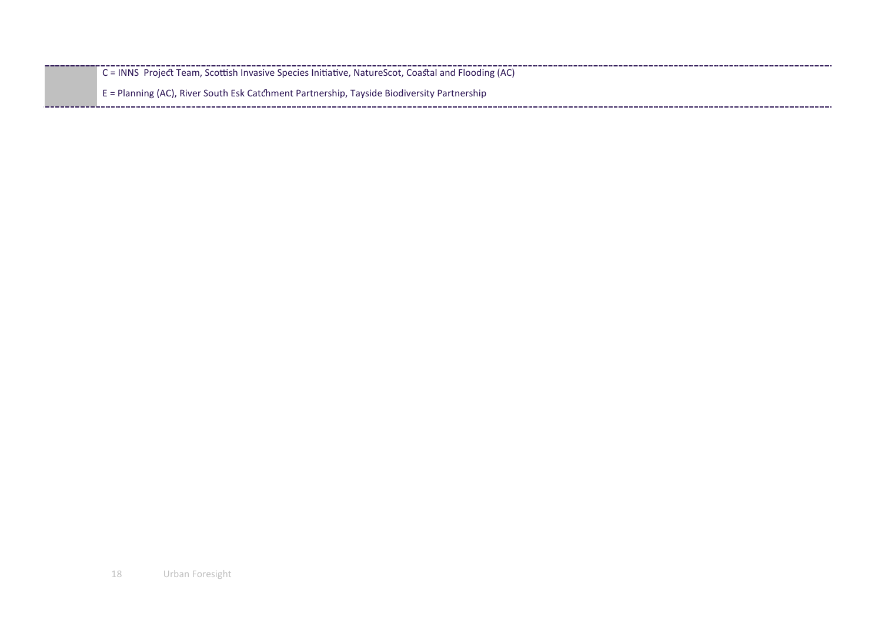|  | $C = INNS$ Project Team, Scottish Invasive Species Initiative, NatureScot, Coastal and Flooding (AC) |
|--|------------------------------------------------------------------------------------------------------|
|  | E = Planning (AC), River South Esk Catchment Partnership, Tayside Biodiversity Partnership           |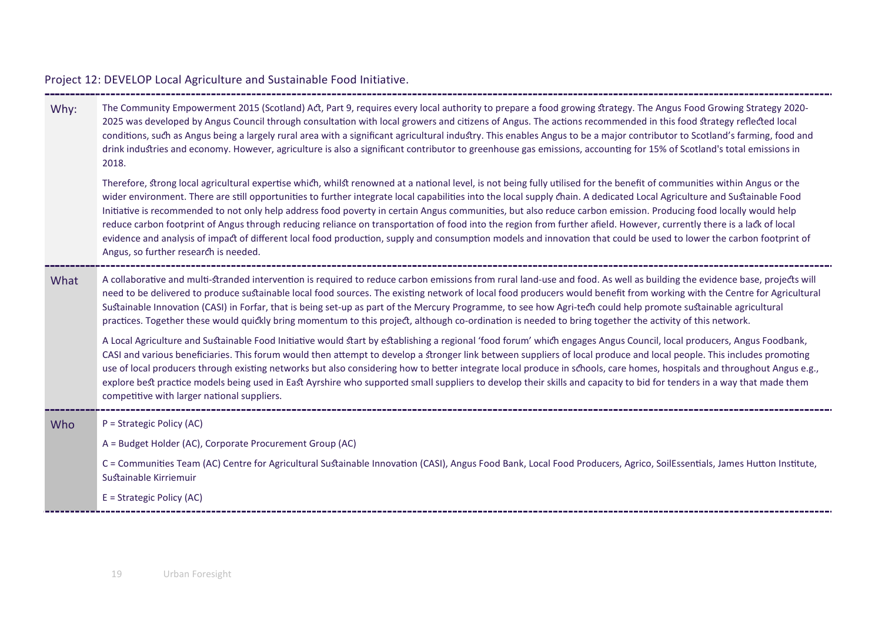| Why: | The Community Empowerment 2015 (Scotland) Act, Part 9, requires every local authority to prepare a food growing strategy. The Angus Food Growing Strategy 2020-<br>2025 was developed by Angus Council through consultation with local growers and citizens of Angus. The actions recommended in this food strategy reflected local<br>conditions, such as Angus being a largely rural area with a significant agricultural industry. This enables Angus to be a major contributor to Scotland's farming, food and<br>drink industries and economy. However, agriculture is also a significant contributor to greenhouse gas emissions, accounting for 15% of Scotland's total emissions in<br>2018.                                                                                                                                                                                                                |
|------|---------------------------------------------------------------------------------------------------------------------------------------------------------------------------------------------------------------------------------------------------------------------------------------------------------------------------------------------------------------------------------------------------------------------------------------------------------------------------------------------------------------------------------------------------------------------------------------------------------------------------------------------------------------------------------------------------------------------------------------------------------------------------------------------------------------------------------------------------------------------------------------------------------------------|
|      | Therefore, strong local agricultural expertise which, whilst renowned at a national level, is not being fully utilised for the benefit of communities within Angus or the<br>wider environment. There are still opportunities to further integrate local capabilities into the local supply chain. A dedicated Local Agriculture and Sustainable Food<br>Initiative is recommended to not only help address food poverty in certain Angus communities, but also reduce carbon emission. Producing food locally would help<br>reduce carbon footprint of Angus through reducing reliance on transportation of food into the region from further afield. However, currently there is a lack of local<br>evidence and analysis of impact of different local food production, supply and consumption models and innovation that could be used to lower the carbon footprint of<br>Angus, so further research is needed. |
| What | A collaborative and multi-stranded intervention is required to reduce carbon emissions from rural land-use and food. As well as building the evidence base, projects will<br>need to be delivered to produce sustainable local food sources. The existing network of local food producers would benefit from working with the Centre for Agricultural<br>Sustainable Innovation (CASI) in Forfar, that is being set-up as part of the Mercury Programme, to see how Agri-tech could help promote sustainable agricultural<br>practices. Together these would quickly bring momentum to this project, although co-ordination is needed to bring together the activity of this network.                                                                                                                                                                                                                               |
|      | A Local Agriculture and Sustainable Food Initiative would start by establishing a regional 'food forum' which engages Angus Council, local producers, Angus Foodbank,<br>CASI and various beneficiaries. This forum would then attempt to develop a stronger link between suppliers of local produce and local people. This includes promoting<br>use of local producers through existing networks but also considering how to better integrate local produce in schools, care homes, hospitals and throughout Angus e.g.,<br>explore best practice models being used in East Ayrshire who supported small suppliers to develop their skills and capacity to bid for tenders in a way that made them<br>competitive with larger national suppliers.                                                                                                                                                                 |
| Who  | P = Strategic Policy (AC)                                                                                                                                                                                                                                                                                                                                                                                                                                                                                                                                                                                                                                                                                                                                                                                                                                                                                           |
|      | A = Budget Holder (AC), Corporate Procurement Group (AC)                                                                                                                                                                                                                                                                                                                                                                                                                                                                                                                                                                                                                                                                                                                                                                                                                                                            |
|      | C = Communities Team (AC) Centre for Agricultural Sustainable Innovation (CASI), Angus Food Bank, Local Food Producers, Agrico, SoilEssentials, James Hutton Institute,<br>Sustainable Kirriemuir                                                                                                                                                                                                                                                                                                                                                                                                                                                                                                                                                                                                                                                                                                                   |
|      | E = Strategic Policy (AC)                                                                                                                                                                                                                                                                                                                                                                                                                                                                                                                                                                                                                                                                                                                                                                                                                                                                                           |
|      |                                                                                                                                                                                                                                                                                                                                                                                                                                                                                                                                                                                                                                                                                                                                                                                                                                                                                                                     |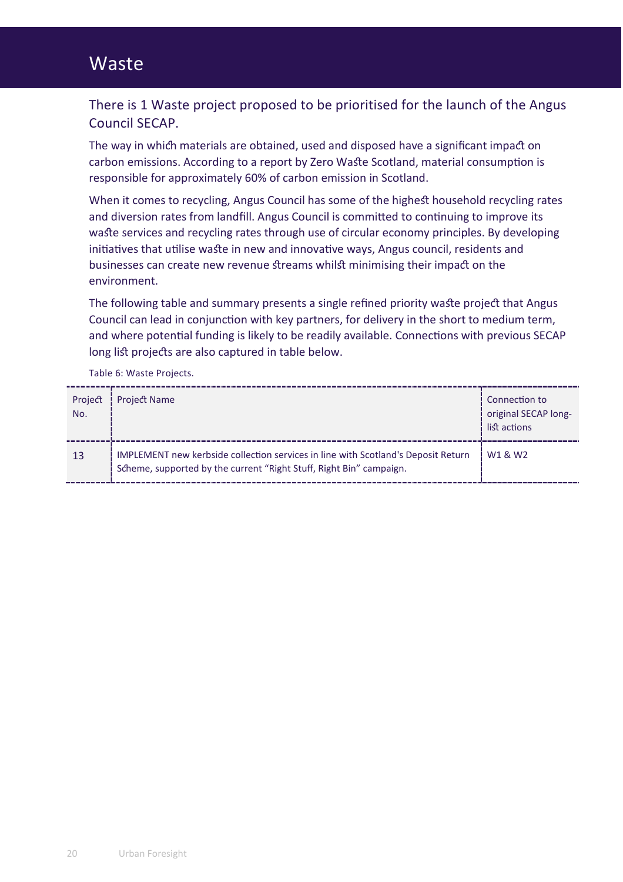## Waste

There is 1 Waste project proposed to be prioritised for the launch of the Angus Council SECAP.

The way in which materials are obtained, used and disposed have a significant impact on carbon emissions. According to a report by Zero Waste Scotland, material consumption is responsible for approximately 60% of carbon emission in Scotland.

When it comes to recycling, Angus Council has some of the highest household recycling rates and diversion rates from landfill. Angus Council is committed to continuing to improve its wa�e services and recycling rates through use of circular economy principles. By developing initiatives that utilise waste in new and innovative ways, Angus council, residents and businesses can create new revenue �reams whil� minimising their impa� on the environment.

The following table and summary presents a single refined priority waste project that Angus Council can lead in conjunction with key partners, for delivery in the short to medium term, and where potential funding is likely to be readily available. Connections with previous SECAP long list projects are also captured in table below.

Table 6: Waste Projects.

| Project<br>No. | <b>Project Name</b>                                                                                                                                      | Connection to<br>original SECAP long-<br>list actions |
|----------------|----------------------------------------------------------------------------------------------------------------------------------------------------------|-------------------------------------------------------|
| 13             | IMPLEMENT new kerbside collection services in line with Scotland's Deposit Return<br>Scheme, supported by the current "Right Stuff, Right Bin" campaign. | W <sub>1</sub> & W <sub>2</sub>                       |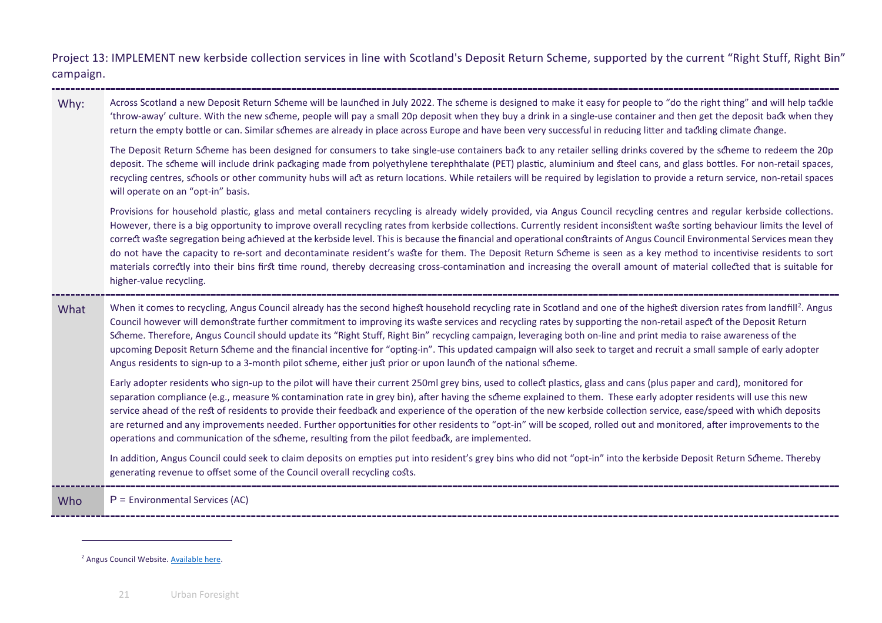<span id="page-20-0"></span>Project 13: IMPLEMENT new kerbside collection services in line with Scotland's Deposit Return Scheme, supported by the current "Right Stuff, Right Bin" campaign.

Why: Across Scotland a new Deposit Return Scheme will be launched in July 2022. The scheme is designed to make it easy for people to "do the right thing" and will help tackle 'throw-away' culture. With the new s�eme, people will pay a small 20p deposit when they buy a drink in a single-use container and then get the deposit ba� when they return the empty bottle or can. Similar schemes are already in place across Europe and have been very successful in reducing litter and tackling climate change.

The Deposit Return Scheme has been designed for consumers to take single-use containers back to any retailer selling drinks covered by the scheme to redeem the 20p deposit. The scheme will include drink packaging made from polyethylene terephthalate (PET) plastic, aluminium and steel cans, and glass bottles. For non-retail spaces, recycling centres, schools or other community hubs will act as return locations. While retailers will be required by legislation to provide a return service, non-retail spaces will operate on an "opt-in" basis.

Provisions for household plastic, glass and metal containers recycling is already widely provided, via Angus Council recycling centres and regular kerbside collections. However, there is a big opportunity to improve overall recycling rates from kerbside collections. Currently resident inconsistent waste sorting behaviour limits the level of correct waste segregation being achieved at the kerbside level. This is because the financial and operational constraints of Angus Council Environmental Services mean they do not have the capacity to re-sort and decontaminate resident's waste for them. The Deposit Return Scheme is seen as a key method to incentivise residents to sort materials correctly into their bins first time round, thereby decreasing cross-contamination and increasing the overall amount of material collected that is suitable for higher-value recycling.

#### What When it comes to recycling, Angus Council already has the second highest household recycling rate in Scotland and one of the highest diversion rates from landfill<sup>[2](#page-20-0)</sup>. Angus Council however will demonstrate further commitment to improving its waste services and recycling rates by supporting the non-retail aspect of the Deposit Return Scheme. Therefore, Angus Council should update its "Right Stuff, Right Bin" recycling campaign, leveraging both on-line and print media to raise awareness of the upcoming Deposit Return Scheme and the financial incentive for "opting-in". This updated campaign will also seek to target and recruit a small sample of early adopter Angus residents to sign-up to a 3-month pilot scheme, either just prior or upon launch of the national scheme.

Early adopter residents who sign-up to the pilot will have their current 250ml grey bins, used to collect plastics, glass and cans (plus paper and card), monitored for separation compliance (e.g., measure % contamination rate in grey bin), after having the scheme explained to them. These early adopter residents will use this new service ahead of the rest of residents to provide their feedback and experience of the operation of the new kerbside collection service, ease/speed with which deposits are returned and any improvements needed. Further opportunities for other residents to "opt-in" will be scoped, rolled out and monitored, after improvements to the operations and communication of the scheme, resulting from the pilot feedback, are implemented.

In addition, Angus Council could seek to claim deposits on empties put into resident's grey bins who did not "opt-in" into the kerbside Deposit Return Scheme. Thereby generating revenue to offset some of the Council overall recycling costs.

Who  $P =$  Environmental Services (AC)

<sup>2</sup> Angus Council Website[. Available here.](https://www.angus.gov.uk/news/a_big_thank_you_to_all_our_angus_recyclers)